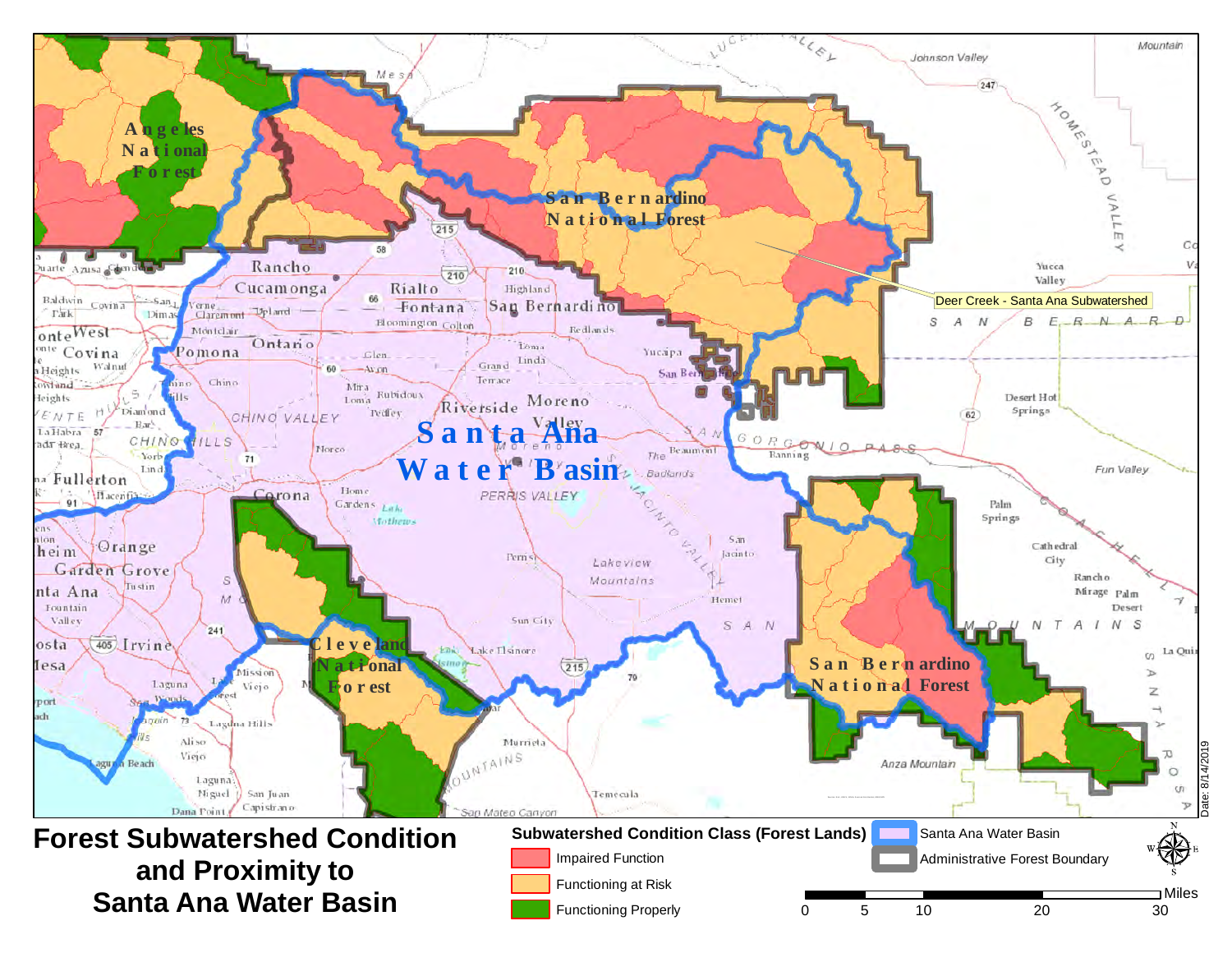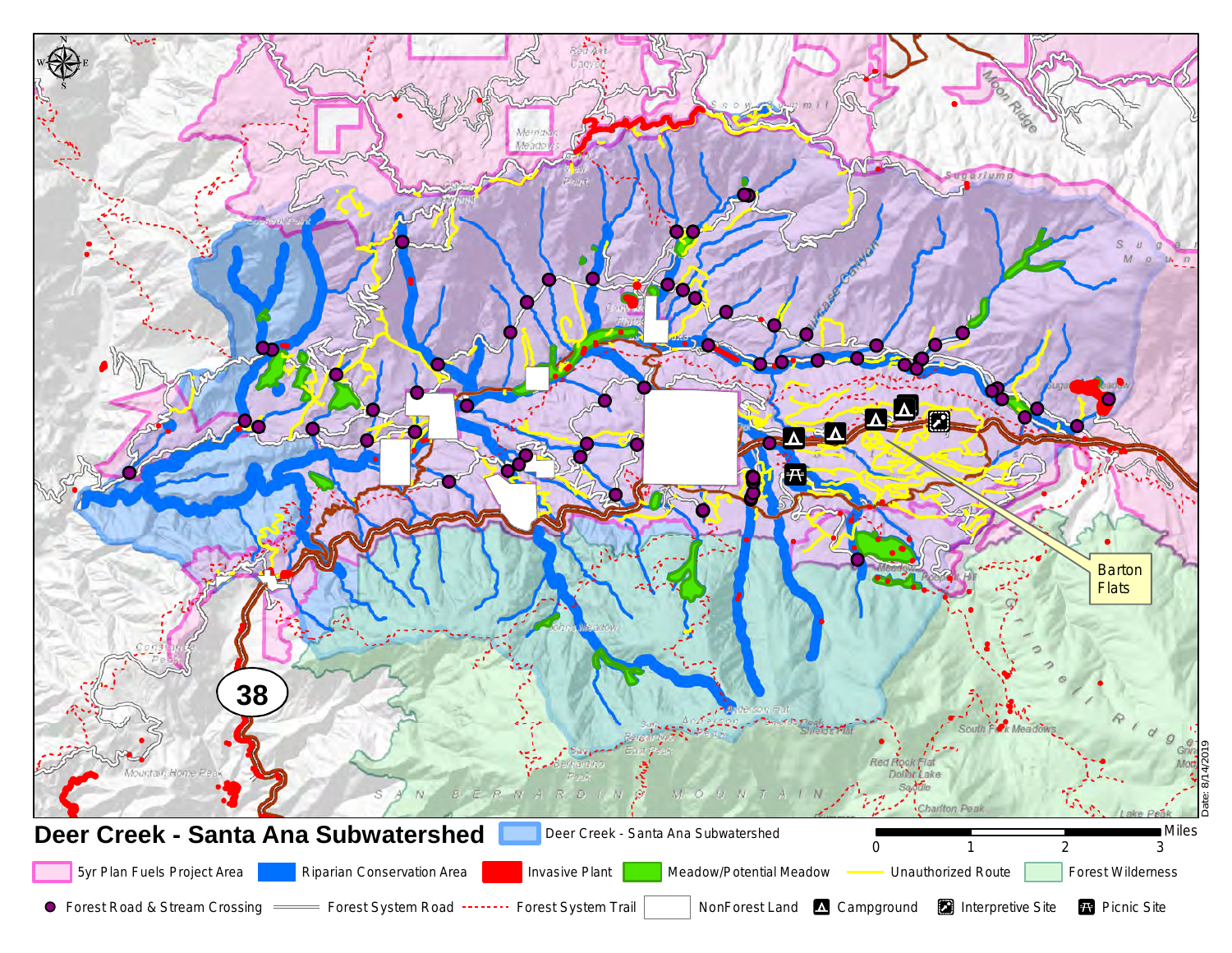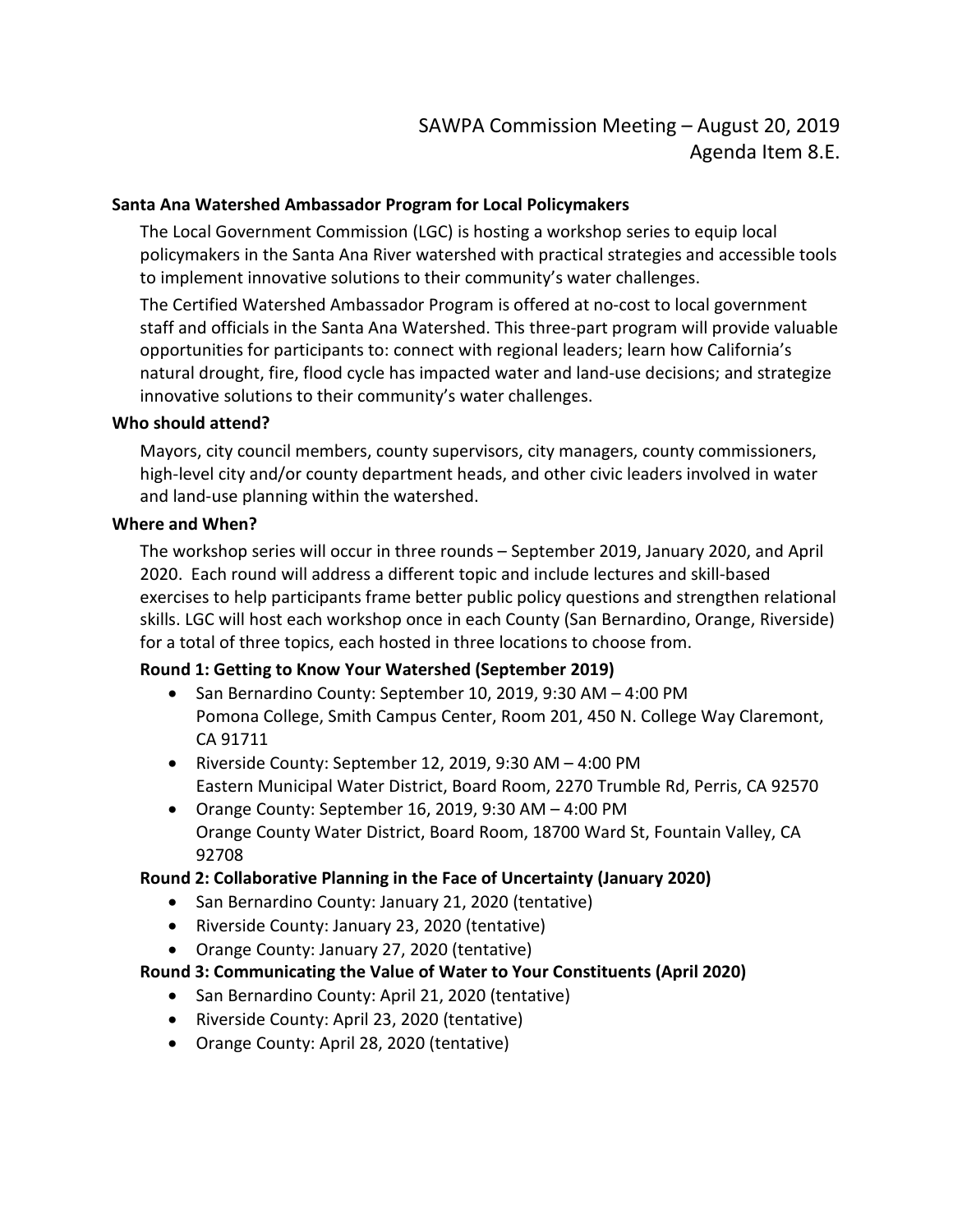#### **Santa Ana Watershed Ambassador Program for Local Policymakers**

The Local Government Commission (LGC) is hosting a workshop series to equip local policymakers in the Santa Ana River watershed with practical strategies and accessible tools to implement innovative solutions to their community's water challenges.

The Certified Watershed Ambassador Program is offered at no-cost to local government staff and officials in the Santa Ana Watershed. This three-part program will provide valuable opportunities for participants to: connect with regional leaders; learn how California's natural drought, fire, flood cycle has impacted water and land-use decisions; and strategize innovative solutions to their community's water challenges.

#### **Who should attend?**

Mayors, city council members, county supervisors, city managers, county commissioners, high-level city and/or county department heads, and other civic leaders involved in water and land-use planning within the watershed.

#### **Where and When?**

The workshop series will occur in three rounds – September 2019, January 2020, and April 2020. Each round will address a different topic and include lectures and skill-based exercises to help participants frame better public policy questions and strengthen relational skills. LGC will host each workshop once in each County (San Bernardino, Orange, Riverside) for a total of three topics, each hosted in three locations to choose from.

## **Round 1: Getting to Know Your Watershed (September 2019)**

- San Bernardino County: September 10, 2019, 9:30 AM 4:00 PM Pomona College, Smith Campus Center, Room 201, 450 N. College Way Claremont, CA 91711
- Riverside County: September 12, 2019, 9:30 AM 4:00 PM Eastern Municipal Water District, Board Room, 2270 Trumble Rd, Perris, CA 92570
- Orange County: September 16, 2019, 9:30 AM 4:00 PM Orange County Water District, Board Room, 18700 Ward St, Fountain Valley, CA 92708

## **Round 2: Collaborative Planning in the Face of Uncertainty (January 2020)**

- San Bernardino County: January 21, 2020 (tentative)
- Riverside County: January 23, 2020 (tentative)
- Orange County: January 27, 2020 (tentative)

# **Round 3: Communicating the Value of Water to Your Constituents (April 2020)**

- San Bernardino County: April 21, 2020 (tentative)
	- Riverside County: April 23, 2020 (tentative)
- Orange County: April 28, 2020 (tentative)